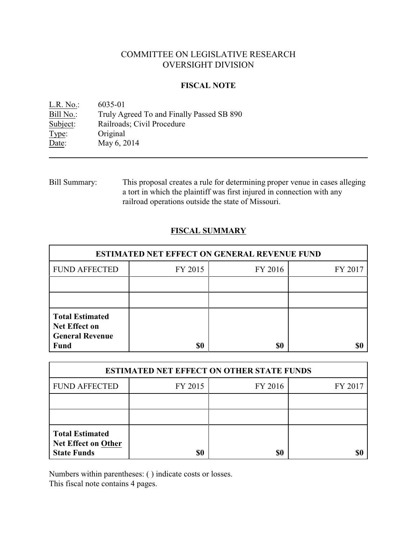# COMMITTEE ON LEGISLATIVE RESEARCH OVERSIGHT DIVISION

### **FISCAL NOTE**

<u>L.R. No.</u>: 6035-01<br>Bill No.: Truly Ag Truly Agreed To and Finally Passed SB 890 Subject: Railroads; Civil Procedure Type: Original Date: May 6, 2014

Bill Summary: This proposal creates a rule for determining proper venue in cases alleging a tort in which the plaintiff was first injured in connection with any railroad operations outside the state of Missouri.

## **FISCAL SUMMARY**

| <b>ESTIMATED NET EFFECT ON GENERAL REVENUE FUND</b>                                     |         |         |         |  |
|-----------------------------------------------------------------------------------------|---------|---------|---------|--|
| <b>FUND AFFECTED</b>                                                                    | FY 2015 | FY 2016 | FY 2017 |  |
|                                                                                         |         |         |         |  |
|                                                                                         |         |         |         |  |
| <b>Total Estimated</b><br><b>Net Effect on</b><br><b>General Revenue</b><br><b>Fund</b> | \$0     | \$0     |         |  |

| <b>ESTIMATED NET EFFECT ON OTHER STATE FUNDS</b>                           |         |         |         |  |
|----------------------------------------------------------------------------|---------|---------|---------|--|
| <b>FUND AFFECTED</b>                                                       | FY 2015 | FY 2016 | FY 2017 |  |
|                                                                            |         |         |         |  |
|                                                                            |         |         |         |  |
| <b>Total Estimated</b><br><b>Net Effect on Other</b><br><b>State Funds</b> | \$0     | \$0     |         |  |

Numbers within parentheses: ( ) indicate costs or losses.

This fiscal note contains 4 pages.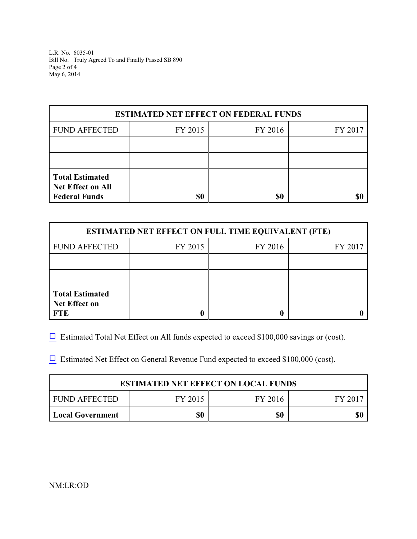L.R. No. 6035-01 Bill No. Truly Agreed To and Finally Passed SB 890 Page 2 of 4 May 6, 2014

| <b>ESTIMATED NET EFFECT ON FEDERAL FUNDS</b>                               |         |         |         |  |
|----------------------------------------------------------------------------|---------|---------|---------|--|
| <b>FUND AFFECTED</b>                                                       | FY 2015 | FY 2016 | FY 2017 |  |
|                                                                            |         |         |         |  |
|                                                                            |         |         |         |  |
| <b>Total Estimated</b><br><b>Net Effect on All</b><br><b>Federal Funds</b> | \$0     | \$0     |         |  |

| <b>ESTIMATED NET EFFECT ON FULL TIME EQUIVALENT (FTE)</b>    |         |         |         |  |
|--------------------------------------------------------------|---------|---------|---------|--|
| <b>FUND AFFECTED</b>                                         | FY 2015 | FY 2016 | FY 2017 |  |
|                                                              |         |         |         |  |
|                                                              |         |         |         |  |
| <b>Total Estimated</b><br><b>Net Effect on</b><br><b>FTE</b> |         |         |         |  |

 $\Box$  Estimated Total Net Effect on All funds expected to exceed \$100,000 savings or (cost).

 $\Box$  Estimated Net Effect on General Revenue Fund expected to exceed \$100,000 (cost).

| <b>ESTIMATED NET EFFECT ON LOCAL FUNDS</b> |         |         |         |  |
|--------------------------------------------|---------|---------|---------|--|
| FUND AFFECTED                              | FY 2015 | FY 2016 | FY 2017 |  |
| <b>Local Government</b>                    | \$0     | \$0     |         |  |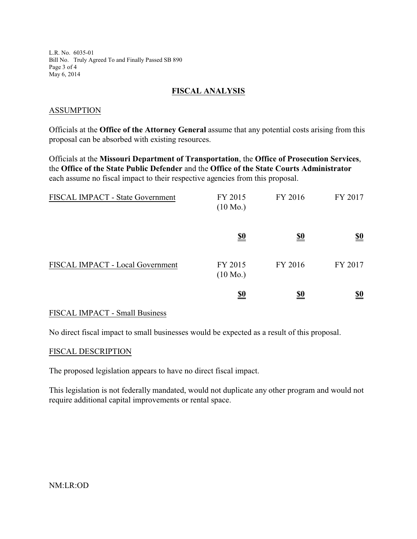L.R. No. 6035-01 Bill No. Truly Agreed To and Finally Passed SB 890 Page 3 of 4 May 6, 2014

### **FISCAL ANALYSIS**

### ASSUMPTION

Officials at the **Office of the Attorney General** assume that any potential costs arising from this proposal can be absorbed with existing resources.

Officials at the **Missouri Department of Transportation**, the **Office of Prosecution Services**, the **Office of the State Public Defender** and the **Office of the State Courts Administrator** each assume no fiscal impact to their respective agencies from this proposal.

| FISCAL IMPACT - State Government | FY 2015<br>$(10 \text{ Mo.})$ | FY 2016    | FY 2017                       |
|----------------------------------|-------------------------------|------------|-------------------------------|
|                                  | <u>\$0</u>                    | <u>\$0</u> | $\underline{\underline{\$0}}$ |
| FISCAL IMPACT - Local Government | FY 2015<br>$(10 \text{ Mo.})$ | FY 2016    | FY 2017                       |
|                                  | $\underline{\underline{\$0}}$ | <u>\$0</u> | $\underline{\underline{\$0}}$ |

#### FISCAL IMPACT - Small Business

No direct fiscal impact to small businesses would be expected as a result of this proposal.

#### FISCAL DESCRIPTION

The proposed legislation appears to have no direct fiscal impact.

This legislation is not federally mandated, would not duplicate any other program and would not require additional capital improvements or rental space.